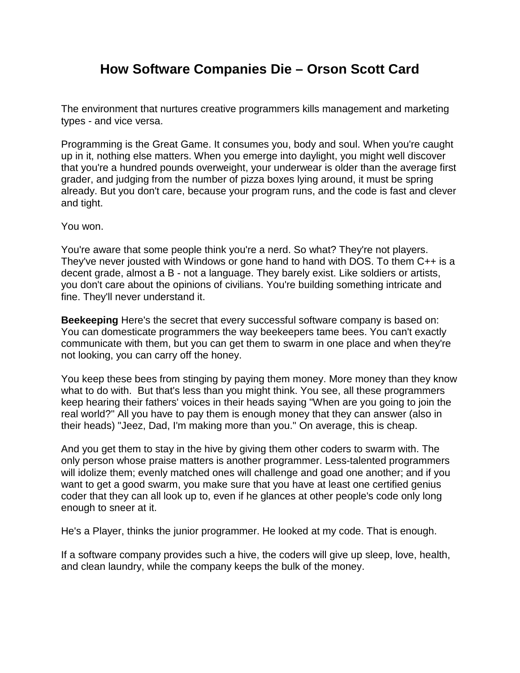## **How Software Companies Die – Orson Scott Card**

The environment that nurtures creative programmers kills management and marketing types - and vice versa.

Programming is the Great Game. It consumes you, body and soul. When you're caught up in it, nothing else matters. When you emerge into daylight, you might well discover that you're a hundred pounds overweight, your underwear is older than the average first grader, and judging from the number of pizza boxes lying around, it must be spring already. But you don't care, because your program runs, and the code is fast and clever and tight.

You won.

You're aware that some people think you're a nerd. So what? They're not players. They've never jousted with Windows or gone hand to hand with DOS. To them C++ is a decent grade, almost a B - not a language. They barely exist. Like soldiers or artists, you don't care about the opinions of civilians. You're building something intricate and fine. They'll never understand it.

**Beekeeping** Here's the secret that every successful software company is based on: You can domesticate programmers the way beekeepers tame bees. You can't exactly communicate with them, but you can get them to swarm in one place and when they're not looking, you can carry off the honey.

You keep these bees from stinging by paying them money. More money than they know what to do with. But that's less than you might think. You see, all these programmers keep hearing their fathers' voices in their heads saying "When are you going to join the real world?" All you have to pay them is enough money that they can answer (also in their heads) "Jeez, Dad, I'm making more than you." On average, this is cheap.

And you get them to stay in the hive by giving them other coders to swarm with. The only person whose praise matters is another programmer. Less-talented programmers will idolize them; evenly matched ones will challenge and goad one another; and if you want to get a good swarm, you make sure that you have at least one certified genius coder that they can all look up to, even if he glances at other people's code only long enough to sneer at it.

He's a Player, thinks the junior programmer. He looked at my code. That is enough.

If a software company provides such a hive, the coders will give up sleep, love, health, and clean laundry, while the company keeps the bulk of the money.